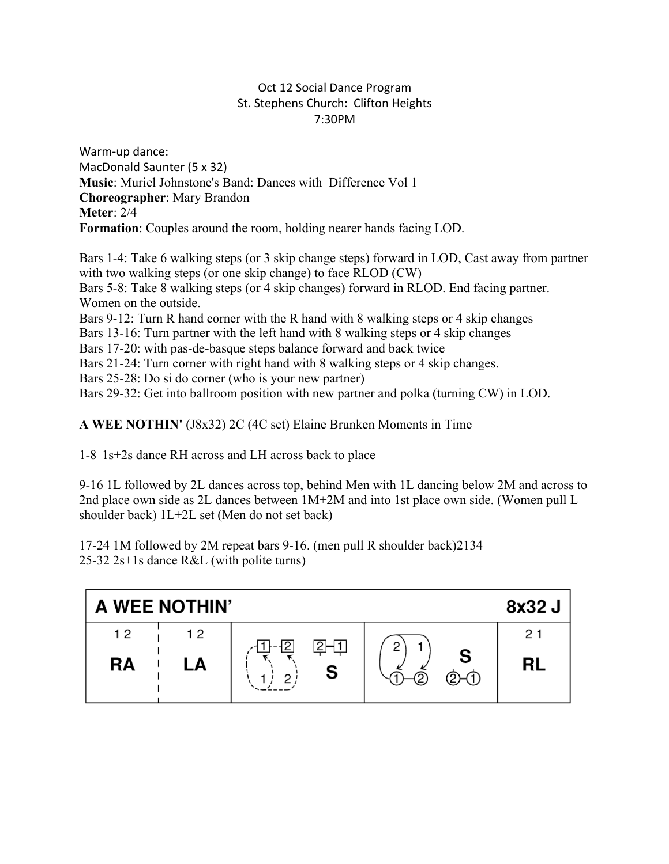## Oct 12 Social Dance Program St. Stephens Church: Clifton Heights 7:30PM

Warm-up dance: MacDonald Saunter (5 x 32) **Music**: Muriel Johnstone's Band: Dances with Difference Vol 1 **Choreographer**: Mary Brandon **Meter**: 2/4 **Formation**: Couples around the room, holding nearer hands facing LOD.

Bars 1-4: Take 6 walking steps (or 3 skip change steps) forward in LOD, Cast away from partner with two walking steps (or one skip change) to face RLOD (CW) Bars 5-8: Take 8 walking steps (or 4 skip changes) forward in RLOD. End facing partner. Women on the outside. Bars 9-12: Turn R hand corner with the R hand with 8 walking steps or 4 skip changes Bars 13-16: Turn partner with the left hand with 8 walking steps or 4 skip changes Bars 17-20: with pas-de-basque steps balance forward and back twice Bars 21-24: Turn corner with right hand with 8 walking steps or 4 skip changes. Bars 25-28: Do si do corner (who is your new partner) Bars 29-32: Get into ballroom position with new partner and polka (turning CW) in LOD.

**A WEE NOTHIN'** (J8x32) 2C (4C set) Elaine Brunken Moments in Time

1-8 1s+2s dance RH across and LH across back to place

9-16 1L followed by 2L dances across top, behind Men with 1L dancing below 2M and across to 2nd place own side as 2L dances between 1M+2M and into 1st place own side. (Women pull L shoulder back) 1L+2L set (Men do not set back)

17-24 1M followed by 2M repeat bars 9-16. (men pull R shoulder back)2134 25-32 2s+1s dance R&L (with polite turns)

| A WEE NOTHIN'<br>8x32 J |    |        |                  |                |  |  |  |
|-------------------------|----|--------|------------------|----------------|--|--|--|
| 12                      | 12 |        | 2                | 2 <sub>1</sub> |  |  |  |
| <b>RA</b>               | LA | S<br>◠ | ட<br>$(2)$ - $($ | <b>RL</b>      |  |  |  |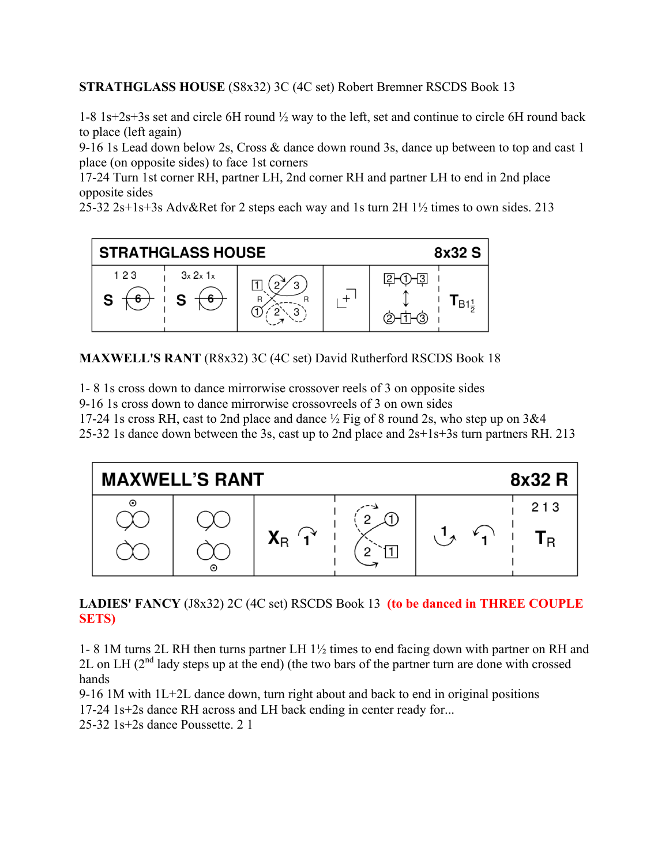**STRATHGLASS HOUSE** (S8x32) 3C (4C set) Robert Bremner RSCDS Book 13

1-8 1s+2s+3s set and circle 6H round ½ way to the left, set and continue to circle 6H round back to place (left again)

9-16 1s Lead down below 2s, Cross & dance down round 3s, dance up between to top and cast 1 place (on opposite sides) to face 1st corners

17-24 Turn 1st corner RH, partner LH, 2nd corner RH and partner LH to end in 2nd place opposite sides

25-32 2s+1s+3s Adv&Ret for 2 steps each way and 1s turn 2H 1½ times to own sides. 213



**MAXWELL'S RANT** (R8x32) 3C (4C set) David Rutherford RSCDS Book 18

1- 8 1s cross down to dance mirrorwise crossover reels of 3 on opposite sides

9-16 1s cross down to dance mirrorwise crossovreels of 3 on own sides

17-24 1s cross RH, cast to 2nd place and dance ½ Fig of 8 round 2s, who step up on 3&4

25-32 1s dance down between the 3s, cast up to 2nd place and 2s+1s+3s turn partners RH. 213



**LADIES' FANCY** (J8x32) 2C (4C set) RSCDS Book 13 **(to be danced in THREE COUPLE SETS)**

1- 8 1M turns 2L RH then turns partner LH 1½ times to end facing down with partner on RH and 2L on LH  $(2^{nd}$  lady steps up at the end) (the two bars of the partner turn are done with crossed hands

9-16 1M with 1L+2L dance down, turn right about and back to end in original positions 17-24 1s+2s dance RH across and LH back ending in center ready for...

25-32 1s+2s dance Poussette. 2 1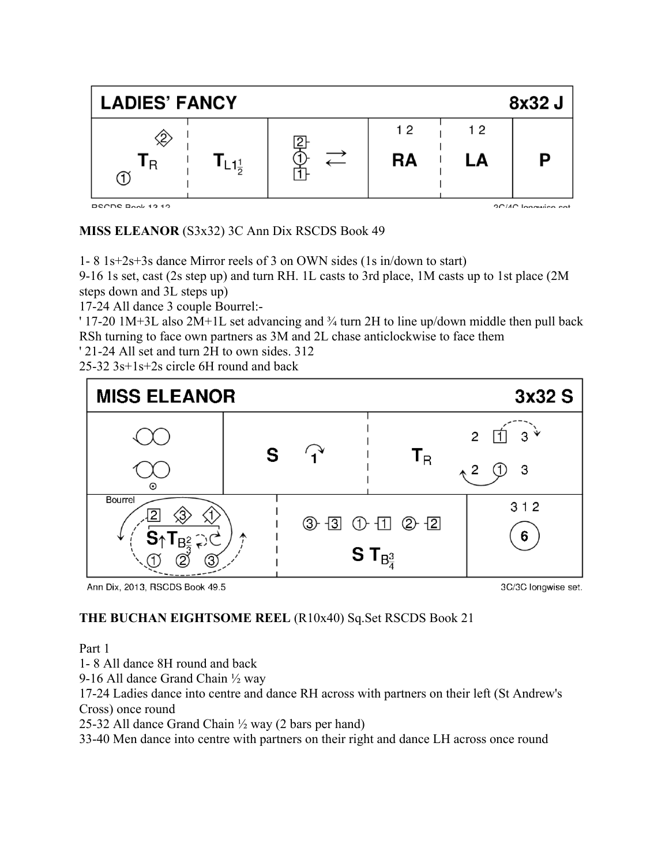

**MISS ELEANOR** (S3x32) 3C Ann Dix RSCDS Book 49

1- 8 1s+2s+3s dance Mirror reels of 3 on OWN sides (1s in/down to start)

9-16 1s set, cast (2s step up) and turn RH. 1L casts to 3rd place, 1M casts up to 1st place (2M steps down and 3L steps up)

17-24 All dance 3 couple Bourrel:-

' 17-20 1M+3L also 2M+1L set advancing and ¾ turn 2H to line up/down middle then pull back RSh turning to face own partners as 3M and 2L chase anticlockwise to face them

' 21-24 All set and turn 2H to own sides. 312

25-32 3s+1s+2s circle 6H round and back



Ann Dix, 2013, RSCDS Book 49.5

3C/3C longwise set.

## **THE BUCHAN EIGHTSOME REEL** (R10x40) Sq.Set RSCDS Book 21

Part 1

1- 8 All dance 8H round and back

9-16 All dance Grand Chain ½ way

17-24 Ladies dance into centre and dance RH across with partners on their left (St Andrew's Cross) once round

25-32 All dance Grand Chain ½ way (2 bars per hand)

33-40 Men dance into centre with partners on their right and dance LH across once round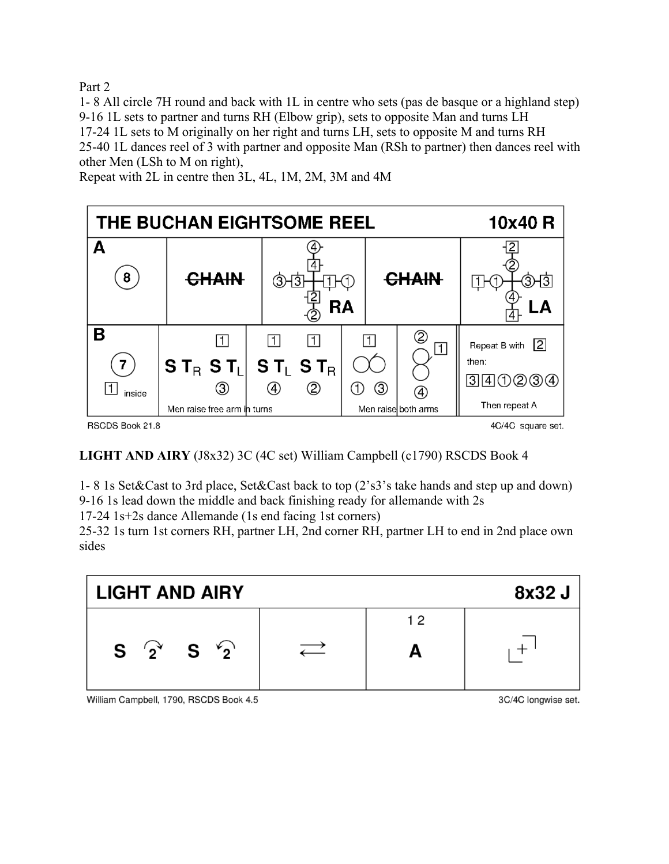Part 2

1- 8 All circle 7H round and back with 1L in centre who sets (pas de basque or a highland step) 9-16 1L sets to partner and turns RH (Elbow grip), sets to opposite Man and turns LH 17-24 1L sets to M originally on her right and turns LH, sets to opposite M and turns RH 25-40 1L dances reel of 3 with partner and opposite Man (RSh to partner) then dances reel with other Men (LSh to M on right),

10x40 R THE BUCHAN EIGHTSOME REEL A 12 **CHAIN** 8 **CHAIN**  $\bigcirc$   $\overline{3}$ THA ⊡⊦ 3⊢3⊺ **RA** B ②  $\vert$ 1  $\boxed{1}$  $\boxed{1}$  $\boxed{1}$ Repeat B with  $\boxed{2}$ П then:  $ST_B ST_I$  $ST_{L}ST_{R}$ 7  $[3]4(1)2(3)4$  $\circledA$ ②  $\circledS$  $\circledf$  $\circ$  $|1|$ inside (4) Then repeat A Men raise free arm in turns Men raise both arms RSCDS Book 21.8 4C/4C square set.

Repeat with 2L in centre then 3L, 4L, 1M, 2M, 3M and 4M

**LIGHT AND AIRY** (J8x32) 3C (4C set) William Campbell (c1790) RSCDS Book 4

1- 8 1s Set&Cast to 3rd place, Set&Cast back to top (2's3's take hands and step up and down) 9-16 1s lead down the middle and back finishing ready for allemande with 2s

17-24 1s+2s dance Allemande (1s end facing 1st corners)

25-32 1s turn 1st corners RH, partner LH, 2nd corner RH, partner LH to end in 2nd place own sides



William Campbell, 1790, RSCDS Book 4.5

3C/4C longwise set.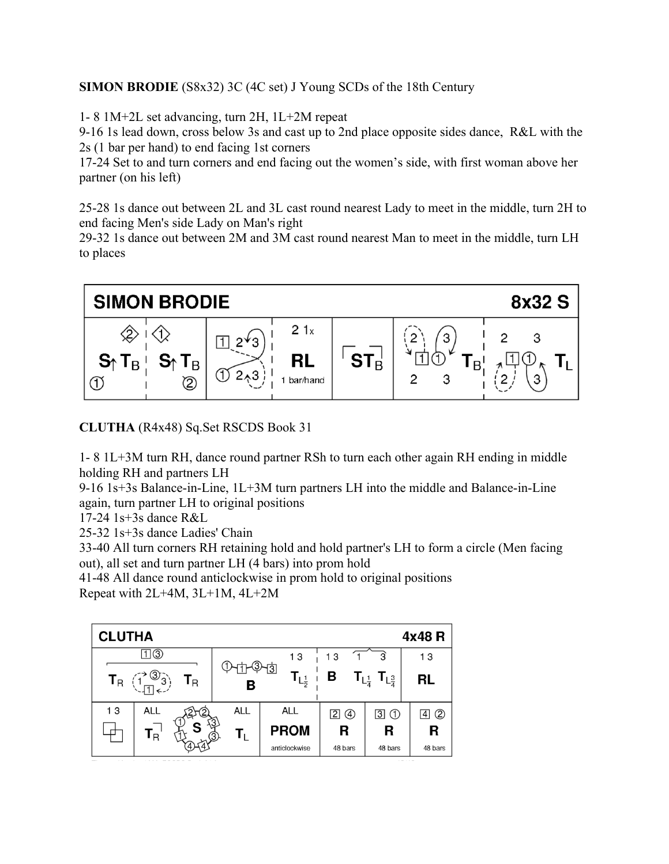## **SIMON BRODIE** (S8x32) 3C (4C set) J Young SCDs of the 18th Century

1- 8 1M+2L set advancing, turn 2H, 1L+2M repeat

9-16 1s lead down, cross below 3s and cast up to 2nd place opposite sides dance, R&L with the 2s (1 bar per hand) to end facing 1st corners

17-24 Set to and turn corners and end facing out the women's side, with first woman above her partner (on his left)

25-28 1s dance out between 2L and 3L cast round nearest Lady to meet in the middle, turn 2H to end facing Men's side Lady on Man's right

29-32 1s dance out between 2M and 3M cast round nearest Man to meet in the middle, turn LH to places



**CLUTHA** (R4x48) Sq.Set RSCDS Book 31

1- 8 1L+3M turn RH, dance round partner RSh to turn each other again RH ending in middle holding RH and partners LH

9-16 1s+3s Balance-in-Line, 1L+3M turn partners LH into the middle and Balance-in-Line again, turn partner LH to original positions

17-24 1s+3s dance R&L

25-32 1s+3s dance Ladies' Chain

33-40 All turn corners RH retaining hold and hold partner's LH to form a circle (Men facing out), all set and turn partner LH (4 bars) into prom hold

41-48 All dance round anticlockwise in prom hold to original positions Repeat with 2L+4M, 3L+1M, 4L+2M

| 4x48R<br><b>CLUTHA</b>         |            |                              |              |                                                   |              |  |  |  |
|--------------------------------|------------|------------------------------|--------------|---------------------------------------------------|--------------|--|--|--|
| 囗③                             |            | 13                           | 13           |                                                   | 13           |  |  |  |
| $T_R$<br>$\mathbf{T}_\text{R}$ | ঞ্চর       | $T_{L^1_{\overline{2}}}$     | B            | $T_{L^1_{\overline{4}}}$ $T_{L^3_{\overline{4}}}$ | <b>RL</b>    |  |  |  |
| 13<br><b>ALL</b>               | <b>ALL</b> | <b>ALL</b>                   | 20           | $\boxdot \oplus$                                  | ②<br>4       |  |  |  |
| ${\mathbf T}_{\mathsf R}$      | Π,<br>ᢙ    | <b>PROM</b><br>anticlockwise | R<br>48 bars | R<br>48 bars                                      | R<br>48 bars |  |  |  |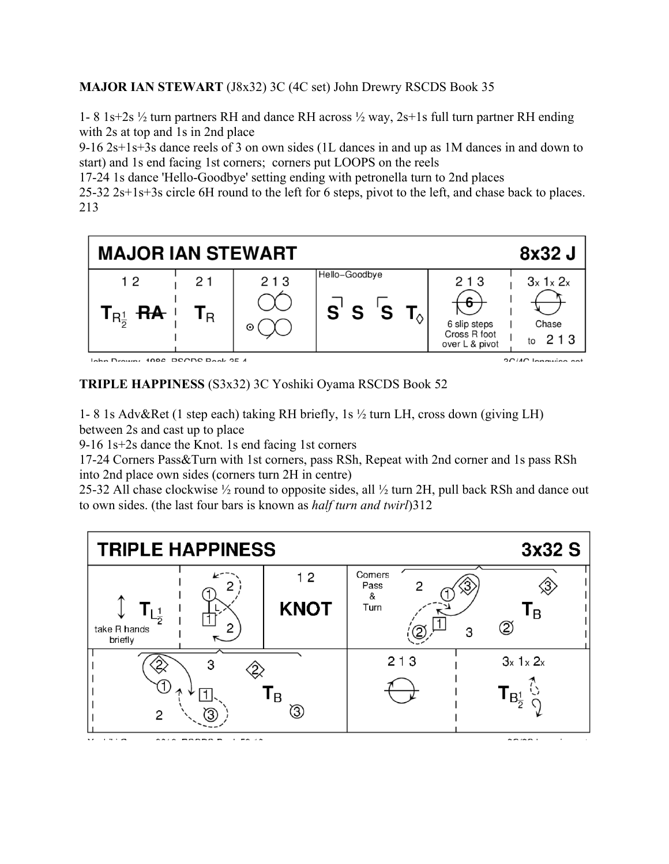**MAJOR IAN STEWART** (J8x32) 3C (4C set) John Drewry RSCDS Book 35

1- 8 1s+2s ½ turn partners RH and dance RH across ½ way, 2s+1s full turn partner RH ending with 2s at top and 1s in 2nd place

9-16 2s+1s+3s dance reels of 3 on own sides (1L dances in and up as 1M dances in and down to start) and 1s end facing 1st corners; corners put LOOPS on the reels

17-24 1s dance 'Hello-Goodbye' setting ending with petronella turn to 2nd places

25-32 2s+1s+3s circle 6H round to the left for 6 steps, pivot to the left, and chase back to places. 213



Inha Drown, 1000 DCCDC Dook OF A

**OCIAC** Innovino ont

**TRIPLE HAPPINESS** (S3x32) 3C Yoshiki Oyama RSCDS Book 52

1- 8 1s Adv&Ret (1 step each) taking RH briefly, 1s ½ turn LH, cross down (giving LH) between 2s and cast up to place

9-16 1s+2s dance the Knot. 1s end facing 1st corners

17-24 Corners Pass&Turn with 1st corners, pass RSh, Repeat with 2nd corner and 1s pass RSh into 2nd place own sides (corners turn 2H in centre)

25-32 All chase clockwise ½ round to opposite sides, all ½ turn 2H, pull back RSh and dance out to own sides. (the last four bars is known as *half turn and twirl*)312